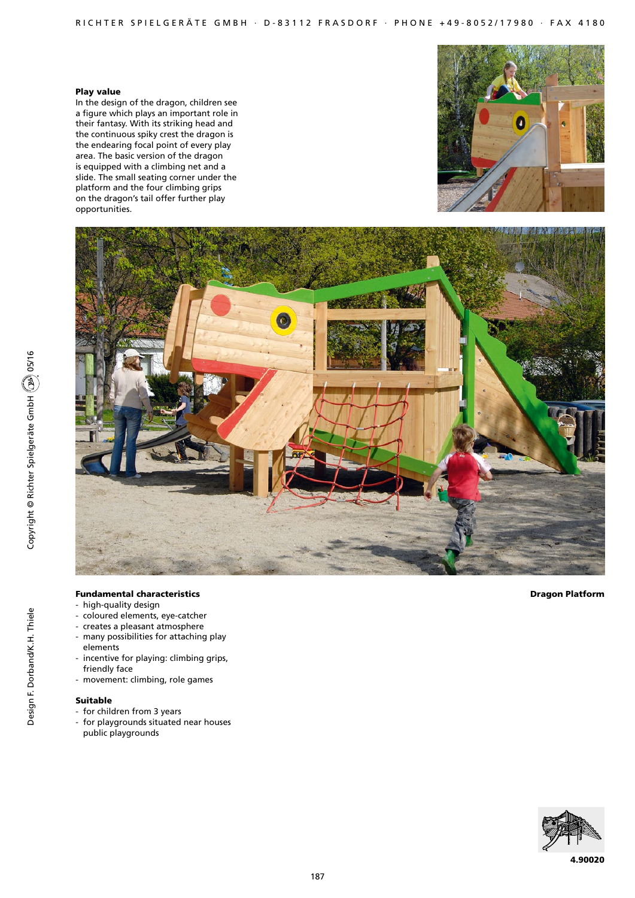## Play value

In the design of the dragon, children see a figure which plays an important role in their fantasy. With its striking head and the continuous spiky crest the dragon is the endearing focal point of every play area. The basic version of the dragon is equipped with a climbing net and a slide. The small seating corner under the platform and the four climbing grips on the dragon's tail offer further play opportunities.





# Fundamental characteristics

- high-quality design
- coloured elements, eye-catcher
- creates a pleasant atmosphere - many possibilities for attaching play
- elements
- incentive for playing: climbing grips, friendly face
- movement: climbing, role games

# Suitable

- for children from 3 years
- for playgrounds situated near houses public playgrounds

Dragon Platform